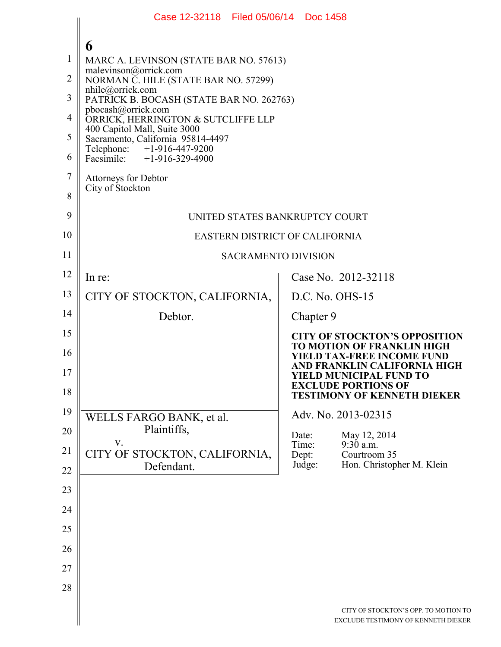|                | Case 12-32118 Filed 05/06/14 Doc 1458                             |                                                                             |  |  |  |  |  |
|----------------|-------------------------------------------------------------------|-----------------------------------------------------------------------------|--|--|--|--|--|
|                |                                                                   |                                                                             |  |  |  |  |  |
| $\mathbf{1}$   | 6<br>MARC A. LEVINSON (STATE BAR NO. 57613)                       |                                                                             |  |  |  |  |  |
| $\overline{2}$ | malevinson@orrick.com<br>NORMAN C. HILE (STATE BAR NO. 57299)     |                                                                             |  |  |  |  |  |
| 3              | nhile@orrick.com<br>PATRICK B. BOCASH (STATE BAR NO. 262763)      |                                                                             |  |  |  |  |  |
| 4              | pbocash@orrick.com<br>ORRICK, HERRINGTON & SUTCLIFFE LLP          |                                                                             |  |  |  |  |  |
| 5              | 400 Capitol Mall, Suite 3000<br>Sacramento, California 95814-4497 |                                                                             |  |  |  |  |  |
| 6              | Telephone: +1-916-447-9200<br>Facsimile: $+1-916-329-4900$        |                                                                             |  |  |  |  |  |
| $\overline{7}$ | <b>Attorneys for Debtor</b>                                       |                                                                             |  |  |  |  |  |
| 8              | City of Stockton                                                  |                                                                             |  |  |  |  |  |
| 9              | UNITED STATES BANKRUPTCY COURT                                    |                                                                             |  |  |  |  |  |
| 10             | <b>EASTERN DISTRICT OF CALIFORNIA</b>                             |                                                                             |  |  |  |  |  |
| 11             | <b>SACRAMENTO DIVISION</b>                                        |                                                                             |  |  |  |  |  |
| 12             | In re:                                                            | Case No. 2012-32118                                                         |  |  |  |  |  |
| 13             | CITY OF STOCKTON, CALIFORNIA,                                     | $D.C. No. OHS-15$                                                           |  |  |  |  |  |
| 14             | Debtor.                                                           | Chapter 9                                                                   |  |  |  |  |  |
| 15             |                                                                   | <b>CITY OF STOCKTON'S OPPOSITION</b><br><b>TO MOTION OF FRANKLIN HIGH</b>   |  |  |  |  |  |
| 16             |                                                                   | <b>YIELD TAX-FREE INCOME FUND</b><br>AND FRANKLIN CALIFORNIA HIGH           |  |  |  |  |  |
| 17             |                                                                   | YIELD MUNICIPAL FUND TO<br><b>EXCLUDE PORTIONS OF</b>                       |  |  |  |  |  |
| 18             |                                                                   | <b>TESTIMONY OF KENNETH DIEKER</b>                                          |  |  |  |  |  |
| 19             | WELLS FARGO BANK, et al.                                          | Adv. No. 2013-02315                                                         |  |  |  |  |  |
| 20             | Plaintiffs,<br>V.                                                 | Date:<br>May 12, 2014<br>Time:<br>9:30 a.m.                                 |  |  |  |  |  |
| 21             | CITY OF STOCKTON, CALIFORNIA,<br>Defendant.                       | Courtroom 35<br>Dept:<br>Hon. Christopher M. Klein<br>Judge:                |  |  |  |  |  |
| 22             |                                                                   |                                                                             |  |  |  |  |  |
| 23             |                                                                   |                                                                             |  |  |  |  |  |
| 24             |                                                                   |                                                                             |  |  |  |  |  |
| 25             |                                                                   |                                                                             |  |  |  |  |  |
| 26             |                                                                   |                                                                             |  |  |  |  |  |
| 27             |                                                                   |                                                                             |  |  |  |  |  |
| 28             |                                                                   |                                                                             |  |  |  |  |  |
|                |                                                                   | CITY OF STOCKTON'S OPP. TO MOTION TO<br>EXCLUDE TESTIMONY OF KENNETH DIEKER |  |  |  |  |  |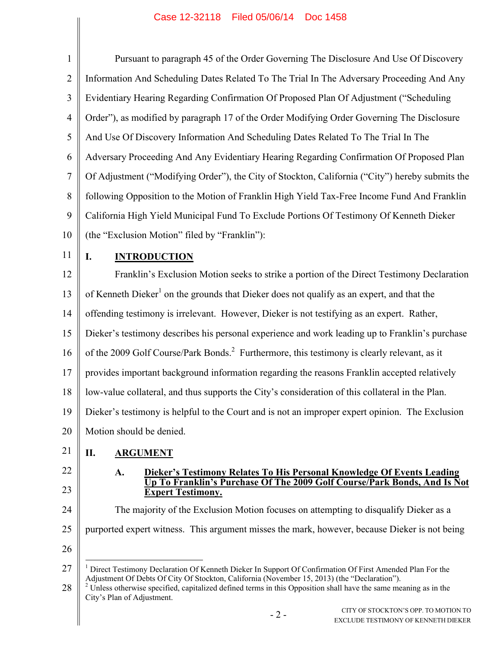## Case 12-32118 Filed 05/06/14 Doc 1458

| $\mathbf{1}$   | Pursuant to paragraph 45 of the Order Governing The Disclosure And Use Of Discovery                                                                                                                                                                                                                                                                                               |  |  |  |  |
|----------------|-----------------------------------------------------------------------------------------------------------------------------------------------------------------------------------------------------------------------------------------------------------------------------------------------------------------------------------------------------------------------------------|--|--|--|--|
| $\overline{2}$ | Information And Scheduling Dates Related To The Trial In The Adversary Proceeding And Any                                                                                                                                                                                                                                                                                         |  |  |  |  |
| 3              | Evidentiary Hearing Regarding Confirmation Of Proposed Plan Of Adjustment ("Scheduling                                                                                                                                                                                                                                                                                            |  |  |  |  |
| $\overline{4}$ | Order"), as modified by paragraph 17 of the Order Modifying Order Governing The Disclosure                                                                                                                                                                                                                                                                                        |  |  |  |  |
| 5              | And Use Of Discovery Information And Scheduling Dates Related To The Trial In The                                                                                                                                                                                                                                                                                                 |  |  |  |  |
| 6              | Adversary Proceeding And Any Evidentiary Hearing Regarding Confirmation Of Proposed Plan                                                                                                                                                                                                                                                                                          |  |  |  |  |
| $\tau$         | Of Adjustment ("Modifying Order"), the City of Stockton, California ("City") hereby submits the                                                                                                                                                                                                                                                                                   |  |  |  |  |
| $\, 8$         | following Opposition to the Motion of Franklin High Yield Tax-Free Income Fund And Franklin                                                                                                                                                                                                                                                                                       |  |  |  |  |
| 9              | California High Yield Municipal Fund To Exclude Portions Of Testimony Of Kenneth Dieker                                                                                                                                                                                                                                                                                           |  |  |  |  |
| 10             | (the "Exclusion Motion" filed by "Franklin"):                                                                                                                                                                                                                                                                                                                                     |  |  |  |  |
| 11             | <b>INTRODUCTION</b><br>I.                                                                                                                                                                                                                                                                                                                                                         |  |  |  |  |
| 12             | Franklin's Exclusion Motion seeks to strike a portion of the Direct Testimony Declaration                                                                                                                                                                                                                                                                                         |  |  |  |  |
| 13             | of Kenneth Dieker <sup>1</sup> on the grounds that Dieker does not qualify as an expert, and that the                                                                                                                                                                                                                                                                             |  |  |  |  |
| 14             | offending testimony is irrelevant. However, Dieker is not testifying as an expert. Rather,                                                                                                                                                                                                                                                                                        |  |  |  |  |
| 15             | Dieker's testimony describes his personal experience and work leading up to Franklin's purchase                                                                                                                                                                                                                                                                                   |  |  |  |  |
| 16             | of the 2009 Golf Course/Park Bonds. <sup>2</sup> Furthermore, this testimony is clearly relevant, as it                                                                                                                                                                                                                                                                           |  |  |  |  |
| 17             | provides important background information regarding the reasons Franklin accepted relatively                                                                                                                                                                                                                                                                                      |  |  |  |  |
| 18             | low-value collateral, and thus supports the City's consideration of this collateral in the Plan.                                                                                                                                                                                                                                                                                  |  |  |  |  |
| 19             | Dieker's testimony is helpful to the Court and is not an improper expert opinion. The Exclusion                                                                                                                                                                                                                                                                                   |  |  |  |  |
| 20             | Motion should be denied.                                                                                                                                                                                                                                                                                                                                                          |  |  |  |  |
| 21             | П.<br><b>ARGUMENT</b>                                                                                                                                                                                                                                                                                                                                                             |  |  |  |  |
| 22             | Dieker's Testimony Relates To His Personal Knowledge Of Events Leading<br>Up To Franklin's Purchase Of The 2009 Golf Course/Park Bonds, And Is Not<br>A.                                                                                                                                                                                                                          |  |  |  |  |
| 23             | <b>Expert Testimony.</b>                                                                                                                                                                                                                                                                                                                                                          |  |  |  |  |
| 24             | The majority of the Exclusion Motion focuses on attempting to disqualify Dieker as a                                                                                                                                                                                                                                                                                              |  |  |  |  |
| 25             | purported expert witness. This argument misses the mark, however, because Dieker is not being                                                                                                                                                                                                                                                                                     |  |  |  |  |
| 26             |                                                                                                                                                                                                                                                                                                                                                                                   |  |  |  |  |
| 27<br>28       | <sup>1</sup> Direct Testimony Declaration Of Kenneth Dieker In Support Of Confirmation Of First Amended Plan For the<br>Adjustment Of Debts Of City Of Stockton, California (November 15, 2013) (the "Declaration").<br><sup>2</sup> Unless otherwise specified, capitalized defined terms in this Opposition shall have the same meaning as in the<br>City's Plan of Adjustment. |  |  |  |  |
|                | CITY OF STOCKTON'S OPP. TO MOTION TO<br>$-2-$<br>EXCLUDE TESTIMONY OF KENNETH DIEKER                                                                                                                                                                                                                                                                                              |  |  |  |  |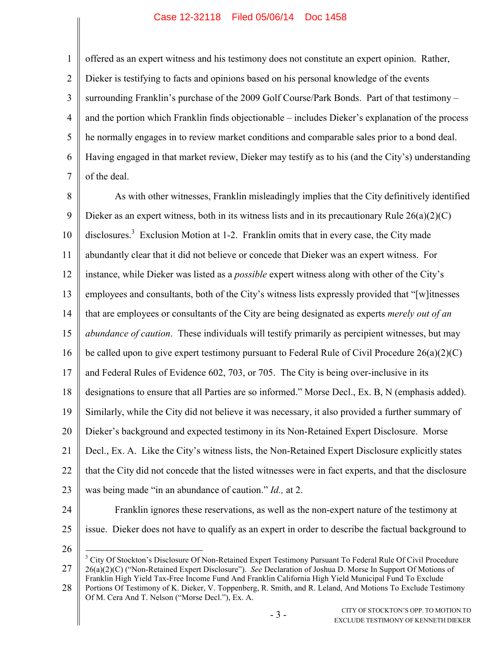## Case 12-32118 Filed 05/06/14 Doc 1458

1 2 3 4 5 6 7 offered as an expert witness and his testimony does not constitute an expert opinion. Rather, Dieker is testifying to facts and opinions based on his personal knowledge of the events surrounding Franklin's purchase of the 2009 Golf Course/Park Bonds. Part of that testimony – and the portion which Franklin finds objectionable – includes Dieker's explanation of the process he normally engages in to review market conditions and comparable sales prior to a bond deal. Having engaged in that market review, Dieker may testify as to his (and the City's) understanding of the deal.

8 9 10 11 12 13 14 15 16 17 18 19 20 21 22 23 24 As with other witnesses, Franklin misleadingly implies that the City definitively identified Dieker as an expert witness, both in its witness lists and in its precautionary Rule 26(a)(2)(C) disclosures.<sup>3</sup> Exclusion Motion at 1-2. Franklin omits that in every case, the City made abundantly clear that it did not believe or concede that Dieker was an expert witness. For instance, while Dieker was listed as a *possible* expert witness along with other of the City's employees and consultants, both of the City's witness lists expressly provided that "[w]itnesses that are employees or consultants of the City are being designated as experts *merely out of an abundance of caution*. These individuals will testify primarily as percipient witnesses, but may be called upon to give expert testimony pursuant to Federal Rule of Civil Procedure 26(a)(2)(C) and Federal Rules of Evidence 602, 703, or 705. The City is being over-inclusive in its designations to ensure that all Parties are so informed." Morse Decl., Ex. B, N (emphasis added). Similarly, while the City did not believe it was necessary, it also provided a further summary of Dieker's background and expected testimony in its Non-Retained Expert Disclosure. Morse Decl., Ex. A. Like the City's witness lists, the Non-Retained Expert Disclosure explicitly states that the City did not concede that the listed witnesses were in fact experts, and that the disclosure was being made "in an abundance of caution." *Id.,* at 2. Franklin ignores these reservations, as well as the non-expert nature of the testimony at

25

26

 $\overline{a}$ 

27 <sup>3</sup> City Of Stockton's Disclosure Of Non-Retained Expert Testimony Pursuant To Federal Rule Of Civil Procedure 26(a)(2)(C) ("Non-Retained Expert Disclosure"). *See* Declaration of Joshua D. Morse In Support Of Motions of Franklin High Yield Tax-Free Income Fund And Franklin California High Yield Municipal Fund To Exclude

28 Portions Of Testimony of K. Dieker, V. Toppenberg, R. Smith, and R. Leland, And Motions To Exclude Testimony Of M. Cera And T. Nelson ("Morse Decl."), Ex. A.

issue. Dieker does not have to qualify as an expert in order to describe the factual background to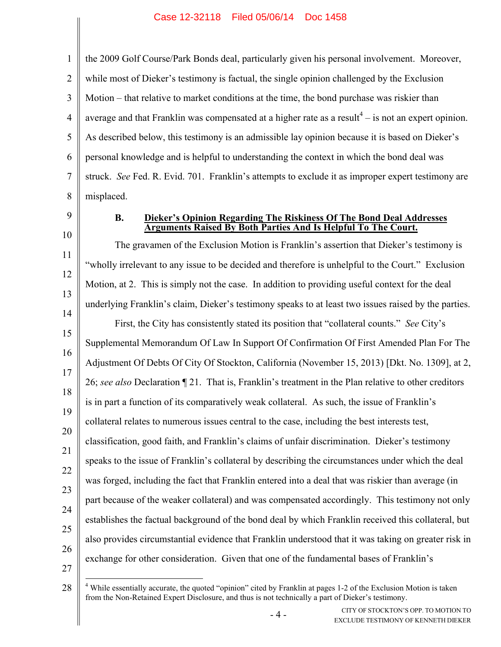1  $\mathfrak{D}$ 3 4 5 6 7 8 the 2009 Golf Course/Park Bonds deal, particularly given his personal involvement. Moreover, while most of Dieker's testimony is factual, the single opinion challenged by the Exclusion Motion – that relative to market conditions at the time, the bond purchase was riskier than average and that Franklin was compensated at a higher rate as a result<sup>4</sup>  $-$  is not an expert opinion. As described below, this testimony is an admissible lay opinion because it is based on Dieker's personal knowledge and is helpful to understanding the context in which the bond deal was struck. *See* Fed. R. Evid. 701. Franklin's attempts to exclude it as improper expert testimony are misplaced.

- 9
- 10

## **B. Dieker's Opinion Regarding The Riskiness Of The Bond Deal Addresses Arguments Raised By Both Parties And Is Helpful To The Court.**

11 12 13 14 15 16 17 18 19 20 21 22 23 24 25 26 The gravamen of the Exclusion Motion is Franklin's assertion that Dieker's testimony is "wholly irrelevant to any issue to be decided and therefore is unhelpful to the Court." Exclusion Motion, at 2. This is simply not the case. In addition to providing useful context for the deal underlying Franklin's claim, Dieker's testimony speaks to at least two issues raised by the parties. First, the City has consistently stated its position that "collateral counts." *See* City's Supplemental Memorandum Of Law In Support Of Confirmation Of First Amended Plan For The Adjustment Of Debts Of City Of Stockton, California (November 15, 2013) [Dkt. No. 1309], at 2, 26; *see also* Declaration ¶ 21. That is, Franklin's treatment in the Plan relative to other creditors is in part a function of its comparatively weak collateral. As such, the issue of Franklin's collateral relates to numerous issues central to the case, including the best interests test, classification, good faith, and Franklin's claims of unfair discrimination. Dieker's testimony speaks to the issue of Franklin's collateral by describing the circumstances under which the deal was forged, including the fact that Franklin entered into a deal that was riskier than average (in part because of the weaker collateral) and was compensated accordingly. This testimony not only establishes the factual background of the bond deal by which Franklin received this collateral, but also provides circumstantial evidence that Franklin understood that it was taking on greater risk in exchange for other consideration. Given that one of the fundamental bases of Franklin's

 $\overline{a}$ 

<sup>27</sup>

<sup>28</sup> <sup>4</sup> While essentially accurate, the quoted "opinion" cited by Franklin at pages 1-2 of the Exclusion Motion is taken from the Non-Retained Expert Disclosure, and thus is not technically a part of Dieker's testimony.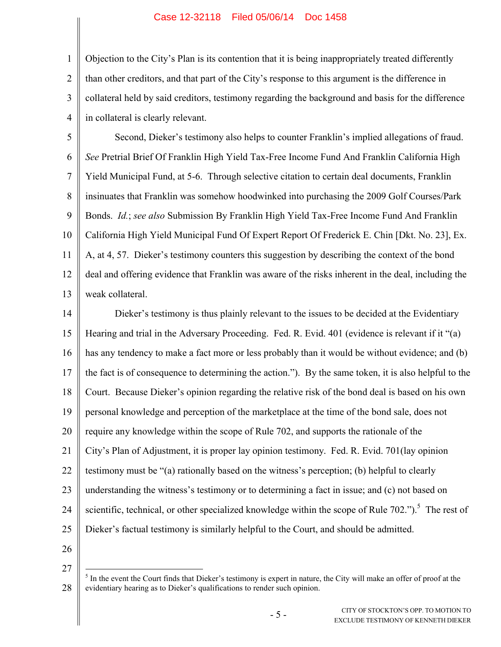## Case 12-32118 Filed 05/06/14 Doc 1458

1 2 3 4 Objection to the City's Plan is its contention that it is being inappropriately treated differently than other creditors, and that part of the City's response to this argument is the difference in collateral held by said creditors, testimony regarding the background and basis for the difference in collateral is clearly relevant.

5 6 7 8 9 10 11 12 13 Second, Dieker's testimony also helps to counter Franklin's implied allegations of fraud. *See* Pretrial Brief Of Franklin High Yield Tax-Free Income Fund And Franklin California High Yield Municipal Fund, at 5-6. Through selective citation to certain deal documents, Franklin insinuates that Franklin was somehow hoodwinked into purchasing the 2009 Golf Courses/Park Bonds. *Id.*; *see also* Submission By Franklin High Yield Tax-Free Income Fund And Franklin California High Yield Municipal Fund Of Expert Report Of Frederick E. Chin [Dkt. No. 23], Ex. A, at 4, 57. Dieker's testimony counters this suggestion by describing the context of the bond deal and offering evidence that Franklin was aware of the risks inherent in the deal, including the weak collateral.

14 15 16 17 18 19 20 21 22 23 24 25 Dieker's testimony is thus plainly relevant to the issues to be decided at the Evidentiary Hearing and trial in the Adversary Proceeding. Fed. R. Evid. 401 (evidence is relevant if it "(a) has any tendency to make a fact more or less probably than it would be without evidence; and (b) the fact is of consequence to determining the action."). By the same token, it is also helpful to the Court. Because Dieker's opinion regarding the relative risk of the bond deal is based on his own personal knowledge and perception of the marketplace at the time of the bond sale, does not require any knowledge within the scope of Rule 702, and supports the rationale of the City's Plan of Adjustment, it is proper lay opinion testimony. Fed. R. Evid. 701(lay opinion testimony must be "(a) rationally based on the witness's perception; (b) helpful to clearly understanding the witness's testimony or to determining a fact in issue; and (c) not based on scientific, technical, or other specialized knowledge within the scope of Rule  $702$ .").<sup>5</sup> The rest of Dieker's factual testimony is similarly helpful to the Court, and should be admitted.

26

27

 $\overline{a}$ 

<sup>28</sup>  $<sup>5</sup>$  In the event the Court finds that Dieker's testimony is expert in nature, the City will make an offer of proof at the</sup> evidentiary hearing as to Dieker's qualifications to render such opinion.